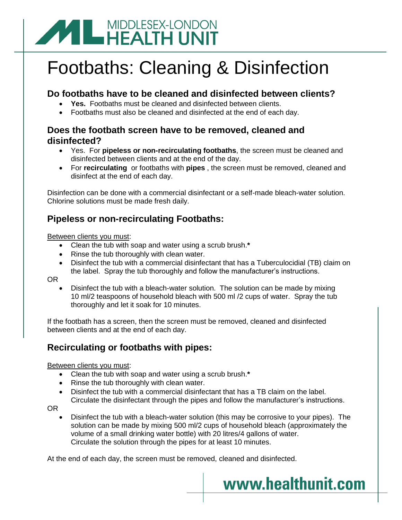# **ANDDLESEX-LONDON**

# Footbaths: Cleaning & Disinfection

## **Do footbaths have to be cleaned and disinfected between clients?**

- **Yes.** Footbaths must be cleaned and disinfected between clients.
- Footbaths must also be cleaned and disinfected at the end of each day.

### **Does the footbath screen have to be removed, cleaned and disinfected?**

- Yes. For **pipeless or non-recirculating footbaths**, the screen must be cleaned and disinfected between clients and at the end of the day.
- For **recirculating** or footbaths with **pipes** , the screen must be removed, cleaned and disinfect at the end of each day.

Disinfection can be done with a commercial disinfectant or a self-made bleach-water solution. Chlorine solutions must be made fresh daily.

# **Pipeless or non-recirculating Footbaths:**

Between clients you must:

- Clean the tub with soap and water using a scrub brush.**\***
- Rinse the tub thoroughly with clean water.
- Disinfect the tub with a commercial disinfectant that has a Tuberculocidial (TB) claim on the label. Spray the tub thoroughly and follow the manufacturer's instructions.

OR

 Disinfect the tub with a bleach-water solution. The solution can be made by mixing 10 ml/2 teaspoons of household bleach with 500 ml /2 cups of water. Spray the tub thoroughly and let it soak for 10 minutes.

If the footbath has a screen, then the screen must be removed, cleaned and disinfected between clients and at the end of each day.

# **Recirculating or footbaths with pipes:**

Between clients you must:

- Clean the tub with soap and water using a scrub brush.**\***
- Rinse the tub thoroughly with clean water.
- Disinfect the tub with a commercial disinfectant that has a TB claim on the label. Circulate the disinfectant through the pipes and follow the manufacturer's instructions.
- OR
	- Disinfect the tub with a bleach-water solution (this may be corrosive to your pipes). The solution can be made by mixing 500 ml/2 cups of household bleach (approximately the volume of a small drinking water bottle) with 20 litres/4 gallons of water. Circulate the solution through the pipes for at least 10 minutes.

www.healthunit.com

At the end of each day, the screen must be removed, cleaned and disinfected.